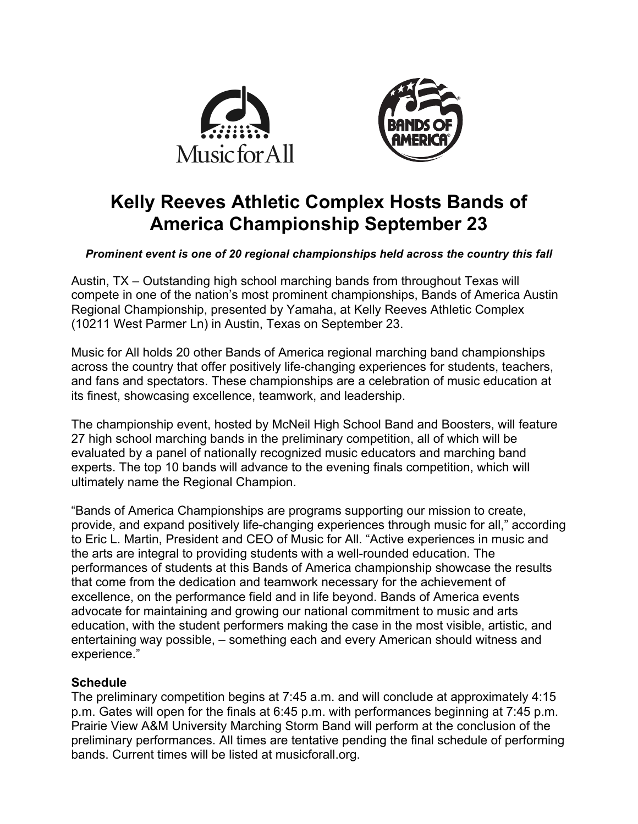



# **Kelly Reeves Athletic Complex Hosts Bands of America Championship September 23**

## *Prominent event is one of 20 regional championships held across the country this fall*

Austin, TX – Outstanding high school marching bands from throughout Texas will compete in one of the nation's most prominent championships, Bands of America Austin Regional Championship, presented by Yamaha, at Kelly Reeves Athletic Complex (10211 West Parmer Ln) in Austin, Texas on September 23.

Music for All holds 20 other Bands of America regional marching band championships across the country that offer positively life-changing experiences for students, teachers, and fans and spectators. These championships are a celebration of music education at its finest, showcasing excellence, teamwork, and leadership.

The championship event, hosted by McNeil High School Band and Boosters, will feature 27 high school marching bands in the preliminary competition, all of which will be evaluated by a panel of nationally recognized music educators and marching band experts. The top 10 bands will advance to the evening finals competition, which will ultimately name the Regional Champion.

"Bands of America Championships are programs supporting our mission to create, provide, and expand positively life-changing experiences through music for all," according to Eric L. Martin, President and CEO of Music for All. "Active experiences in music and the arts are integral to providing students with a well-rounded education. The performances of students at this Bands of America championship showcase the results that come from the dedication and teamwork necessary for the achievement of excellence, on the performance field and in life beyond. Bands of America events advocate for maintaining and growing our national commitment to music and arts education, with the student performers making the case in the most visible, artistic, and entertaining way possible, – something each and every American should witness and experience."

#### **Schedule**

The preliminary competition begins at 7:45 a.m. and will conclude at approximately 4:15 p.m. Gates will open for the finals at 6:45 p.m. with performances beginning at 7:45 p.m. Prairie View A&M University Marching Storm Band will perform at the conclusion of the preliminary performances. All times are tentative pending the final schedule of performing bands. Current times will be listed at musicforall.org.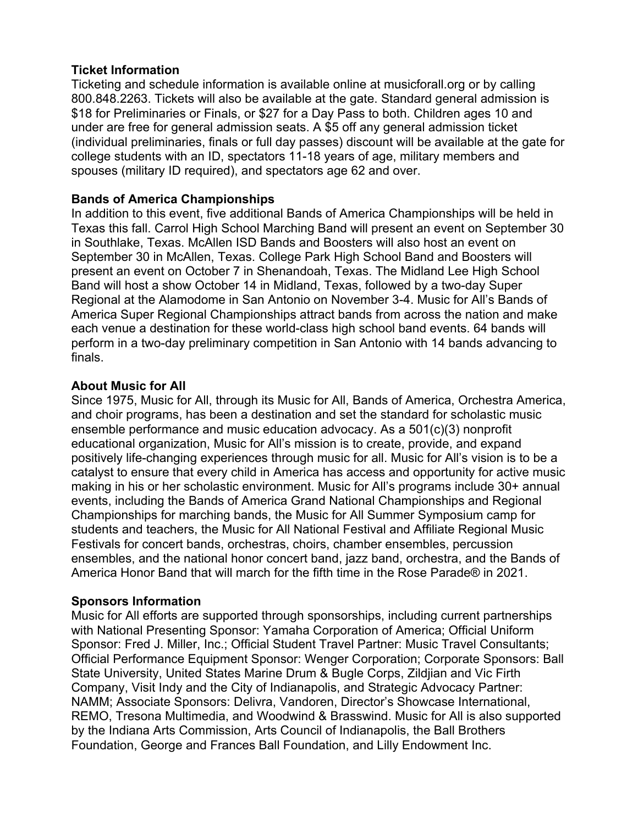#### **Ticket Information**

Ticketing and schedule information is available online at musicforall.org or by calling 800.848.2263. Tickets will also be available at the gate. Standard general admission is \$18 for Preliminaries or Finals, or \$27 for a Day Pass to both. Children ages 10 and under are free for general admission seats. A \$5 off any general admission ticket (individual preliminaries, finals or full day passes) discount will be available at the gate for college students with an ID, spectators 11-18 years of age, military members and spouses (military ID required), and spectators age 62 and over.

# **Bands of America Championships**

In addition to this event, five additional Bands of America Championships will be held in Texas this fall. Carrol High School Marching Band will present an event on September 30 in Southlake, Texas. McAllen ISD Bands and Boosters will also host an event on September 30 in McAllen, Texas. College Park High School Band and Boosters will present an event on October 7 in Shenandoah, Texas. The Midland Lee High School Band will host a show October 14 in Midland, Texas, followed by a two-day Super Regional at the Alamodome in San Antonio on November 3-4. Music for All's Bands of America Super Regional Championships attract bands from across the nation and make each venue a destination for these world-class high school band events. 64 bands will perform in a two-day preliminary competition in San Antonio with 14 bands advancing to finals.

## **About Music for All**

Since 1975, Music for All, through its Music for All, Bands of America, Orchestra America, and choir programs, has been a destination and set the standard for scholastic music ensemble performance and music education advocacy. As a 501(c)(3) nonprofit educational organization, Music for All's mission is to create, provide, and expand positively life-changing experiences through music for all. Music for All's vision is to be a catalyst to ensure that every child in America has access and opportunity for active music making in his or her scholastic environment. Music for All's programs include 30+ annual events, including the Bands of America Grand National Championships and Regional Championships for marching bands, the Music for All Summer Symposium camp for students and teachers, the Music for All National Festival and Affiliate Regional Music Festivals for concert bands, orchestras, choirs, chamber ensembles, percussion ensembles, and the national honor concert band, jazz band, orchestra, and the Bands of America Honor Band that will march for the fifth time in the Rose Parade® in 2021.

# **Sponsors Information**

Music for All efforts are supported through sponsorships, including current partnerships with National Presenting Sponsor: Yamaha Corporation of America; Official Uniform Sponsor: Fred J. Miller, Inc.; Official Student Travel Partner: Music Travel Consultants; Official Performance Equipment Sponsor: Wenger Corporation; Corporate Sponsors: Ball State University, United States Marine Drum & Bugle Corps, Zildjian and Vic Firth Company, Visit Indy and the City of Indianapolis, and Strategic Advocacy Partner: NAMM; Associate Sponsors: Delivra, Vandoren, Director's Showcase International, REMO, Tresona Multimedia, and Woodwind & Brasswind. Music for All is also supported by the Indiana Arts Commission, Arts Council of Indianapolis, the Ball Brothers Foundation, George and Frances Ball Foundation, and Lilly Endowment Inc.